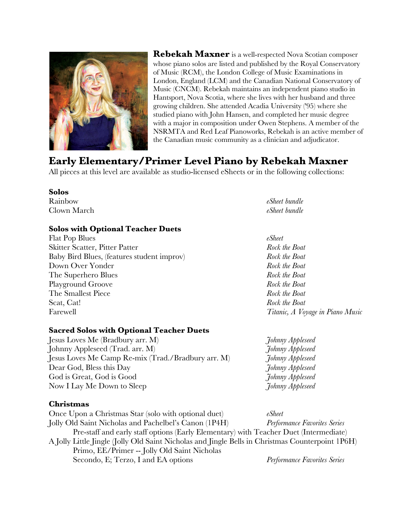

# **Early Elementary/Primer Level Piano by Rebekah Maxner**

All pieces at this level are available as studio-licensed eSheets or in the following collections:

#### **Solos**

Rainbow *eSheet bundle* Clown March *eSheet bundle*

## **Solos with Optional Teacher Duets**

Flat Pop Blues *eSheet* Skitter Scatter, Pitter Patter *Rock the Boat*  Baby Bird Blues, (features student improv) *Rock the Boat* Down Over Yonder *Rock the Boat*  The Superhero Blues *Rock the Boat*  Playground Groove *Rock the Boat* The Smallest Piece *Rock the Boat*  Scat, Cat! *Rock the Boat*  Farewell *Titanic, A Voyage in Piano Music* 

## **Sacred Solos with Optional Teacher Duets**

Jesus Loves Me (Bradbury arr. M) *Johnny Appleseed* Johnny Appleseed (Trad. arr. M) *Johnny Appleseed* Jesus Loves Me Camp Re-mix (Trad./Bradbury arr. M) *Johnny Appleseed* Dear God, Bless this Day *Johnny Appleseed* God is Great, God is Good *Johnny Appleseed* Now I Lay Me Down to Sleep *Johnny Appleseed*

## **Christmas**

Once Upon a Christmas Star (solo with optional duet) *eSheet* Jolly Old Saint Nicholas and Pachelbel's Canon (1P4H) *Performance Favorites Series* Pre-staff and early staff options (Early Elementary) with Teacher Duet (Intermediate) A Jolly Little Jingle (Jolly Old Saint Nicholas and Jingle Bells in Christmas Counterpoint 1P6H) Primo, EE/Primer -- Jolly Old Saint Nicholas Secondo, E; Terzo, I and EA options *Performance Favorites Series*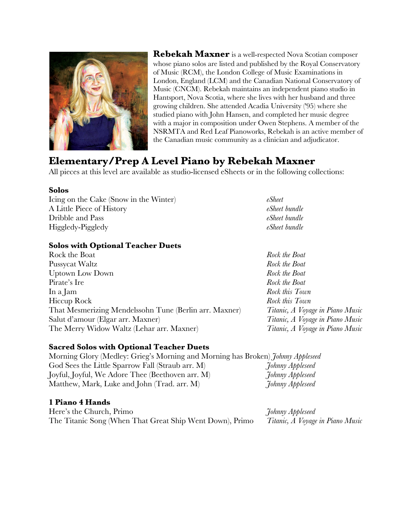

# **Elementary/Prep A Level Piano by Rebekah Maxner**

All pieces at this level are available as studio-licensed eSheets or in the following collections:

#### **Solos**

Icing on the Cake (Snow in the Winter) *eSheet* A Little Piece of History *eSheet bundle* Dribble and Pass *eSheet bundle* Higgledy-Piggledy *eSheet bundle*

## **Solos with Optional Teacher Duets**

Rock the Boat *Rock the Boat*  Pussycat Waltz *Rock the Boat* Uptown Low Down *Rock the Boat*  Pirate's Ire *Rock the Boat*  In a Jam *Rock this Town* Hiccup Rock *Rock this Town* That Mesmerizing Mendelssohn Tune (Berlin arr. Maxner) *Titanic, A Voyage in Piano Music* Salut d'amour (Elgar arr. Maxner) *Titanic, A Voyage in Piano Music*  The Merry Widow Waltz (Lehar arr. Maxner) *Titanic, A Voyage in Piano Music* 

#### **Sacred Solos with Optional Teacher Duets**

Morning Glory (Medley: Grieg's Morning and Morning has Broken) *Johnny Appleseed* God Sees the Little Sparrow Fall (Straub arr. M) *Johnny Appleseed* Joyful, Joyful, We Adore Thee (Beethoven arr. M) *Johnny Appleseed* Matthew, Mark, Luke and John (Trad. arr. M) *Johnny Appleseed*

## **1 Piano 4 Hands**

| Here's the Church, Primo                                 | Johnny Appleseed                 |
|----------------------------------------------------------|----------------------------------|
| The Titanic Song (When That Great Ship Went Down), Primo | Titanic, A Voyage in Piano Music |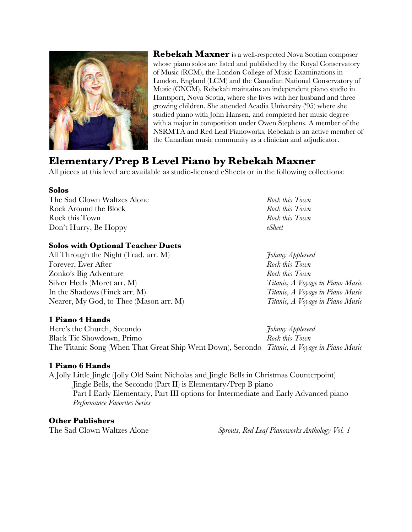

## **Elementary/Prep B Level Piano by Rebekah Maxner**

All pieces at this level are available as studio-licensed eSheets or in the following collections:

#### **Solos**

The Sad Clown Waltzes Alone *Rock this Town* Rock Around the Block *Rock this Town* Rock this Town *Rock this Town* Don't Hurry, Be Hoppy *eSheet*

## **Solos with Optional Teacher Duets**

All Through the Night (Trad. arr. M) *Johnny Appleseed* Forever, Ever After *Rock this Town* Zonko's Big Adventure *Rock this Town* Silver Heels (Moret arr. M) *Titanic, A Voyage in Piano Music* In the Shadows (Finck arr. M) *Titanic, A Voyage in Piano Music* Nearer, My God, to Thee (Mason arr. M) *Titanic, A Voyage in Piano Music*

## **1 Piano 4 Hands**

Here's the Church, Secondo *Johnny Appleseed* Black Tie Showdown, Primo *Rock this Town* The Titanic Song (When That Great Ship Went Down), Secondo *Titanic, A Voyage in Piano Music*

## **1 Piano 6 Hands**

A Jolly Little Jingle (Jolly Old Saint Nicholas and Jingle Bells in Christmas Counterpoint) Jingle Bells, the Secondo (Part II) is Elementary/Prep B piano Part I Early Elementary, Part III options for Intermediate and Early Advanced piano *Performance Favorites Series*

## **Other Publishers**

The Sad Clown Waltzes Alone *Sprouts, Red Leaf Pianoworks Anthology Vol. 1*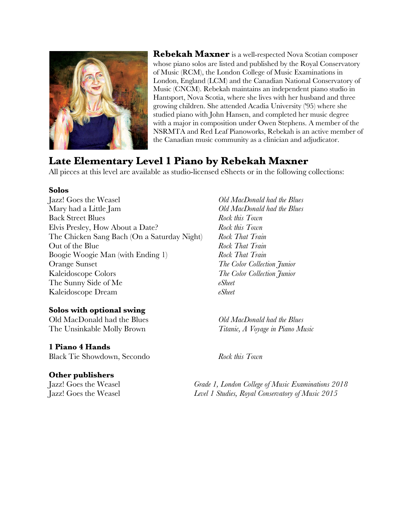

# **Late Elementary Level 1 Piano by Rebekah Maxner**

All pieces at this level are available as studio-licensed eSheets or in the following collections:

#### **Solos**

Jazz! Goes the Weasel *Old MacDonald had the Blues* Mary had a Little Jam *Old MacDonald had the Blues* Back Street Blues *Rock this Town* Elvis Presley, How About a Date? *Rock this Town* The Chicken Sang Bach (On a Saturday Night) *Rock That Train* Out of the Blue *Rock That Train* Boogie Woogie Man (with Ending 1) *Rock That Train* Orange Sunset *The Color Collection Junior* Kaleidoscope Colors *The Color Collection Junior* The Sunny Side of Me *eSheet* Kaleidoscope Dream *eSheet*

## **Solos with optional swing**

Old MacDonald had the Blues *Old MacDonald had the Blues* The Unsinkable Molly Brown *Titanic, A Voyage in Piano Music*

## **1 Piano 4 Hands**

Black Tie Showdown, Secondo *Rock this Town*

## **Other publishers**

Jazz! Goes the Weasel *Grade 1, London College of Music Examinations 2018* Jazz! Goes the Weasel *Level 1 Studies, Royal Conservatory of Music 2015*